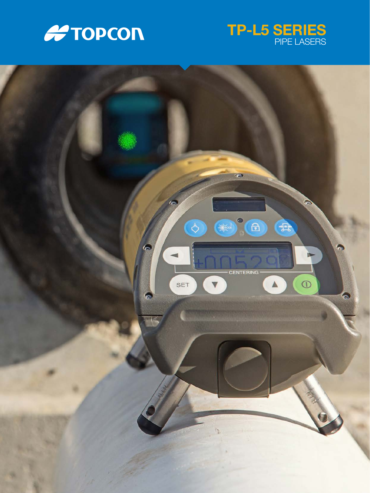



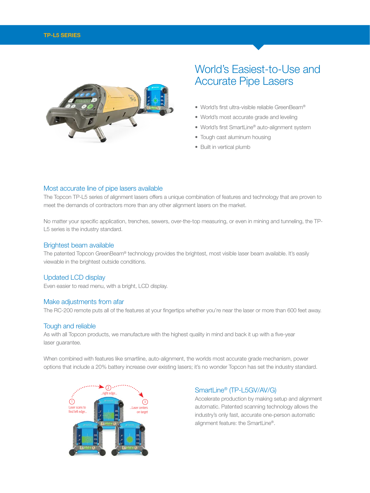



# World's Easiest-to-Use and Accurate Pipe Lasers

- World's first ultra-visible reliable GreenBeam®
- World's most accurate grade and leveling
- World's first SmartLine® auto-alignment system
- Tough cast aluminum housing
- Built in vertical plumb

## Most accurate line of pipe lasers available

The Topcon TP-L5 series of alignment lasers offers a unique combination of features and technology that are proven to meet the demands of contractors more than any other alignment lasers on the market.

No matter your specific application, trenches, sewers, over-the-top measuring, or even in mining and tunneling, the TP-L5 series is the industry standard.

### Brightest beam available

The patented Topcon GreenBeam® technology provides the brightest, most visible laser beam available. It's easily viewable in the brightest outside conditions.

#### Updated LCD display

Even easier to read menu, with a bright, LCD display.

#### Make adjustments from afar

The RC-200 remote puts all of the features at your fingertips whether you're near the laser or more than 600 feet away.

## Tough and reliable

As with all Topcon products, we manufacture with the highest quality in mind and back it up with a five-year laser guarantee.

When combined with features like smartline, auto-alignment, the worlds most accurate grade mechanism, power options that include a 20% battery increase over existing lasers; it's no wonder Topcon has set the industry standard.



# SmartLine® (TP-L5GV/AV/G)

Accelerate production by making setup and alignment automatic. Patented scanning technology allows the industry's only fast, accurate one-person automatic alignment feature: the SmartLine®.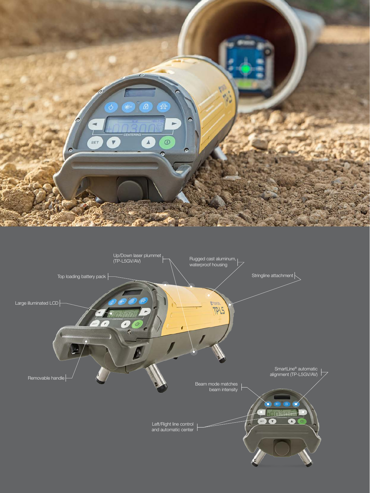